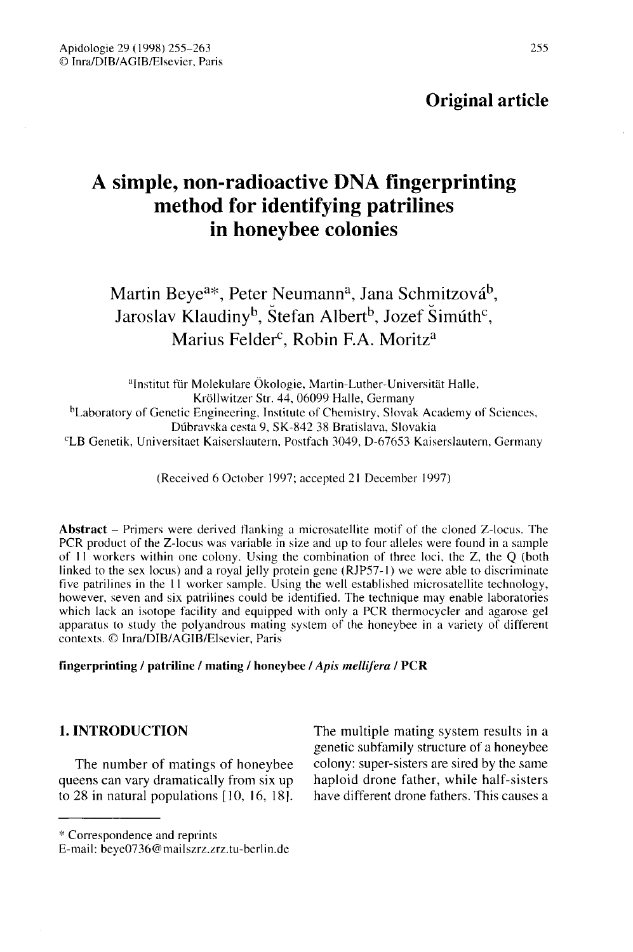# Original article

# A simple, non-radioactive DNA fingerprinting method for identifying patrilines in honeybee colonies

# Martin Beye<sup>a\*</sup>, Peter Neumann<sup>a</sup>, Jana Schmitzová<sup>b</sup>. Jaroslav Klaudiny<sup>b</sup>, Štefan Albert<sup>b</sup>, Jozef Šimúth<sup>c</sup>, Marius Felder<sup>c</sup>, Robin F.A. Moritz<sup>a</sup>

aInstitut für Molekulare Ökologie, Martin-Luther-Universitäit Halle, <sup>2</sup><br>bLaboratory Kröllwitzer Str. 44, 06099 Halle, Germanv Laboratory of Genetic Engineering, Institute of Chemistry, Slovak Academy of Sciences, Dúbravska cesta 9, SK-842 38 Bratislava, Slovakia cLB Genetik, Universitaet Kaiserslautern, Postfach 3049, D-67653 Kaiserslautern, Germany

(Received 6 October 1997; accepted 21 December 1997)

Abstract – Primers were derived flanking a microsatellite motif of the cloned Z-locus. The PCR product of the Z-locus was variable in size and up to four alleles were found in a sample of 11 workers within one colony. Using the combination of three loci, the Z, the Q (both linked to the sex locus) and a royal jelly protein gene (RJP57-1) we were able to discriminate five patrilines in the 11 worker sample. Using the well established microsatellite technology, however, seven and six patrilines could be identified. The technique may enable laboratories which lack an isotope facility and equipped with only a PCR thermocycler and agarose gel apparatus to study the polyandrous mating system of the honeybee in a variety of different contexts. © Inra/DIB/AGIB/Elsevier, Paris

#### fingerprinting / patriline / mating / honeybee / Apis mellifera / PCR

# 1. INTRODUCTION

The number of matings of honeybee queens can vary dramatically from six up to 28 in natural populations [10, 16, 18].

The multiple mating system results in a genetic subfamily structure of a honeybee colony: super-sisters are sired by the same haploid drone father, while half-sisters have different drone fathers. This causes a

<sup>\*</sup> Correspondence and reprints

E-mail: beye0736@mailszrz.zrz.tu-berlin.de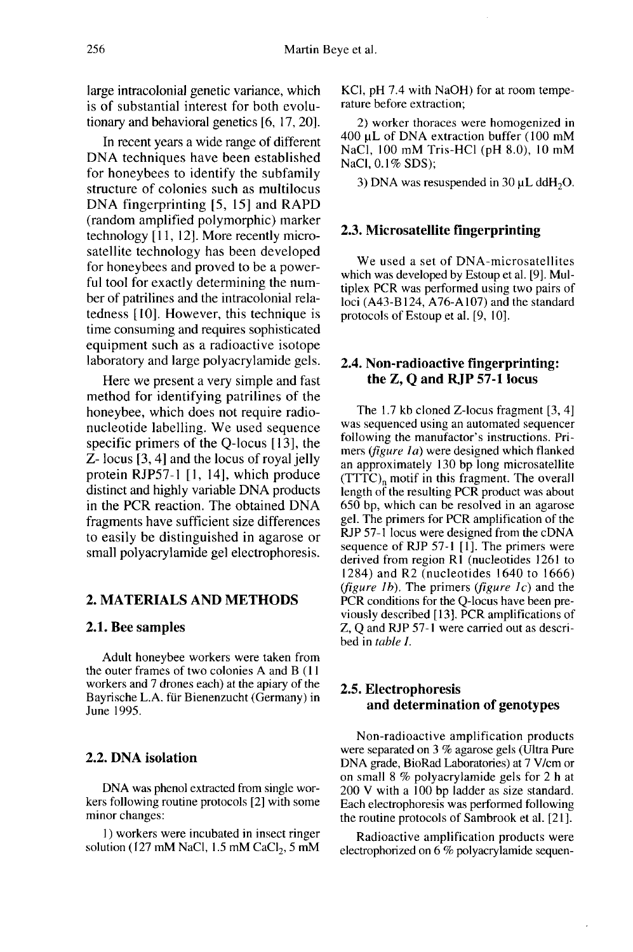large intracolonial genetic variance, which is of substantial interest for both evolutionary and behavioral genetics [6, 17, 20].

In recent years a wide range of different DNA techniques have been established for honeybees to identify the subfamily structure of colonies such as multilocus DNA fingerprinting [5, 15] and RAPD (random amplified polymorphic) marker technology [11, 12]. More recently microsatellite technology has been developed for honeybees and proved to be a powerful tool for exactly determining the number of patrilines and the intracolonial relatedness [10]. However, this technique is time consuming and requires sophisticated equipment such as a radioactive isotope laboratory and large polyacrylamide gels.

Here we present a very simple and fast method for identifying patrilines of the honeybee, which does not require radionucleotide labelling. We used sequence specific primers of the Q-locus [13], the Z- locus [3, 4] and the locus of royal jelly protein RJP57-1 [1, 14], which produce distinct and highly variable DNA products in the PCR reaction. The obtained DNA fragments have sufficient size differences to easily be distinguished in agarose or small polyacrylamide gel electrophoresis.

#### 2. MATERIALS AND METHODS

#### 2.1. Bee samples

Adult honeybee workers were taken from the outer frames of two colonies A and B (11 workers and 7 drones each) at the apiary of the Bayrische L.A. für Bienenzucht (Germany) in June 1995.

#### 2.2. DNA isolation

DNA was phenol extracted from single workers following routine protocols [2] with some minor changes:

1) workers were incubated in insect ringer solution (127 mM NaCl, 1.5 mM CaCl<sub>2</sub>, 5 mM KCl, pH 7.4 with NaOH) for at room tempe rature before extraction;

2) worker thoraces were homogenized in 400 μL of DNA extraction buffer (100 mM NaCl, 100 mM Tris-HCl (pH 8.0), 10 mM NaCl, 0.1% SDS);

3) DNA was resuspended in 30  $\mu$ L ddH<sub>2</sub>O.

#### 2.3. Microsatellite fingerprinting

We used a set of DNA-microsatellites which was developed by Estoup et al. [9]. Multiplex PCR was performed using two pairs of loci (A43-B124, A76-A107) and the standard protocols of Estoup et al. [9, 10].

# 2.4. Non-radioactive fingerprinting: the Z, Q and RJP 57-1 locus

The 1.7 kb cloned Z-locus fragment [3, 4] was sequenced using an automated sequencer following the manufactor's instructions. Primers (figure 1a) were designed which flanked an approximately 130 bp long microsatellite  $(TTTC)$ <sub>n</sub> motif in this fragment. The overall length of the resulting PCR product was about 650 bp, which can be resolved in an agarose gel. The primers for PCR amplification of the RJP 57-1 locus were designed from the cDNA sequence of RJP 57-1 [1]. The primers were derived from region R1 (nucleotides 1261 to 1284) and R2 (nucleotides 1640 to 1666) (figure 1b). The primers (figure  $I_c$ ) and the PCR conditions for the Q-locus have been previously described [13]. PCR amplifications of Z, Q and RJP 57-1 were carried out as described in table I.

#### 2.5. Electrophoresis and determination of genotypes

Non-radioactive amplification products were separated on 3 % agarose gels (Ultra Pure DNA grade, BioRad Laboratories) at 7 V/cm or on small 8 % polyacrylamide gels for 2 h at 200 V with a 100 bp ladder as size standard. Each electrophoresis was performed following the routine protocols of Sambrook et al. [21].

Radioactive amplification products were electrophorized on 6 % polyacrylamide sequen-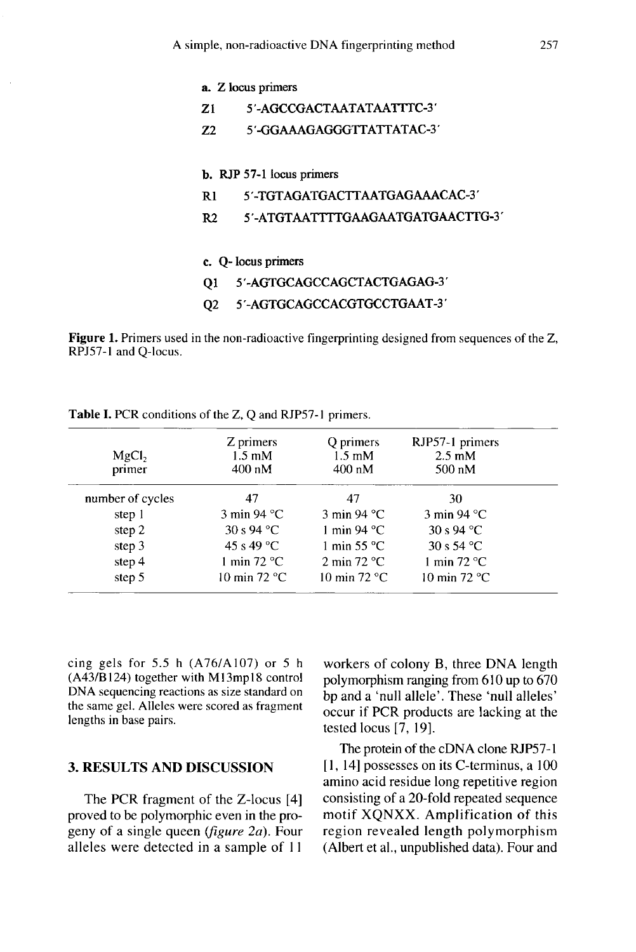| a. Z locus primers                |
|-----------------------------------|
| 5'-AGCCGACTAATATAATTTC-3'         |
| 5'-GGAAAGAGGGTTATTATAC-3'         |
|                                   |
| b. RJP 57-1 locus primers         |
| 5'-TGTAGATGACTTAATGAGAAACAC-3'    |
| 5'-ATGTAATTTTGAAGAATGATGAACTTG-3' |
|                                   |
| c. O- locus primers               |
| 5'-AGTGCAGCCAGCTACTGAGAG-3'       |
| 5'-AGTGCAGCCACGTGCCTGAAT-3'       |
|                                   |

Figure 1. Primers used in the non-radioactive fingerprinting designed from sequences of the Z, RPJ57-1 and Q-locus.

| MgCl <sub>2</sub><br>primer | Z primers<br>$1.5 \text{ }\mathrm{m}$ M<br>$400 \text{ nM}$ | Q primers<br>$1.5 \text{ mM}$<br>$400 \text{ nM}$ | RJP57-1 primers<br>$2.5 \text{ mM}$<br>$500 \text{ nM}$ |
|-----------------------------|-------------------------------------------------------------|---------------------------------------------------|---------------------------------------------------------|
| number of cycles            | 47                                                          | 47                                                | 30                                                      |
| step 1                      | $3 \text{ min } 94 \text{ °C}$                              | $3 \text{ min } 94 \text{ }^{\circ} \text{C}$     | $3 \text{ min } 94 \text{ }^{\circ} \text{C}$           |
| step 2                      | 30 s 94 °C                                                  | 1 min 94 $\degree$ C                              | $30s94$ °C                                              |
| step 3                      | 45 s 49 °C                                                  | 1 min 55 $\degree$ C                              | 30 s 54 °C                                              |
| step 4                      | 1 min $72 °C$                                               | 2 min $72 °C$                                     | 1 min $72 °C$                                           |
| step 5                      | 10 min $72 °C$                                              | 10 min $72 °C$                                    | 10 min 72 $\degree$ C                                   |

Table I. PCR conditions of the Z, Q and RJP57-1 primers.

cing gels for  $5.5$  h  $(A76/A107)$  or  $5$  h (A43/B124) together with M13mp18 control DNA sequencing reactions as size standard on the same gel. Alleles were scored as fragment lengths in base pairs.

## 3. RESULTS AND DISCUSSION

The PCR fragment of the Z-locus [4] proved to be polymorphic even in the progeny of a single queen ( $figure\ 2a$ ). Four alleles were detected in a sample of 11

workers of colony B, three DNA length polymorphism ranging from 610 up to 670 bp and a 'null allele'. These 'null alleles' occur if PCR products are lacking at the tested locus [7, 19].

The protein of the cDNA clone RJP57-1 [1, 14] possesses on its C-terminus, a 100 amino acid residue long repetitive region consisting of a 20-fold repeated sequence motif XQNXX. Amplification of this region revealed length polymorphism (Albert et al., unpublished data). Four and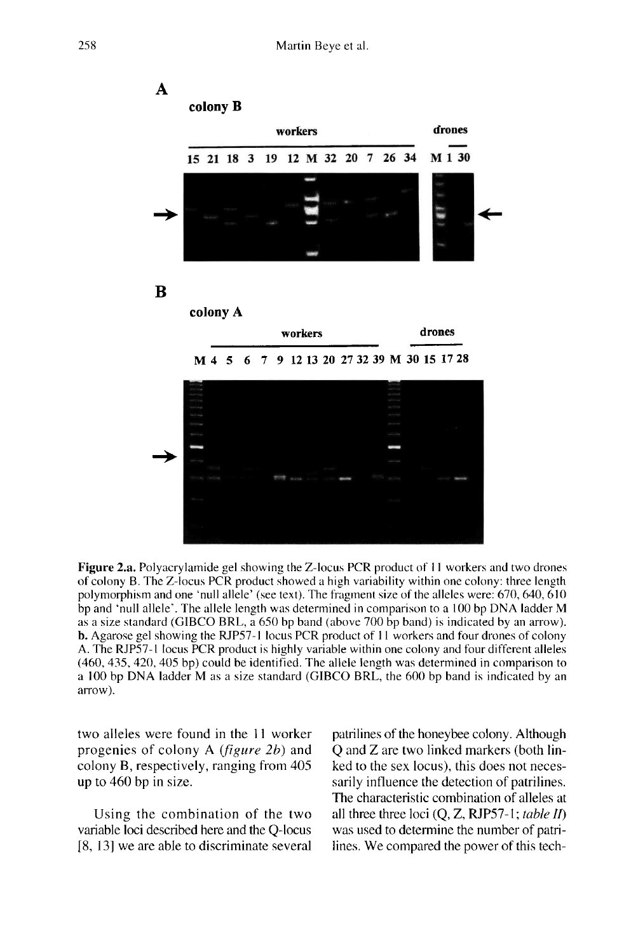

Figure 2.a. Polyacrylamide gel showing the Z-locus PCR product of 11 workers and two drones of colony B. The Z-locus PCR product showed a high variability within one colony: three length polymorphism and one 'null allele' (see text). The fragment size of the alleles were: 670, 640, 610 bp and 'null allele'. The allele length was determined in comparison to a 100 bp DNA ladder M as a size standard (GIBCO BRL, a 650 bp band (above 700 bp band) is indicated by an arrow). **b.** Agarose gel showing the RJP57-1 locus PCR product of 11 workers and four drones of colony A. The RJP57-1 locus PCR product is highly variable within one colony and four different alleles (460, 435, 420, 405 bp) could be identified. The allele length was determined in comparison to a 100 bp DNA ladder M as a size standard (GIBCO BRL, the 600 bp band is indicated by an arrow).

two alleles were found in the 11 worker progenies of colony A (figure 2b) and colony B, respectively, ranging from 405 up to 460 bp in size.

Using the combination of the two variable loci described here and the Q-locus [8, 13] we are able to discriminate several patrilines of the honeybee colony. Although Q and Z are two linked markers (both linked to the sex locus), this does not necessarily influence the detection of patrilines. The characteristic combination of alleles at all three three loci  $(Q, Z, RJP57-1; table II)$ was used to determine the number of patrilines. We compared the power of this tech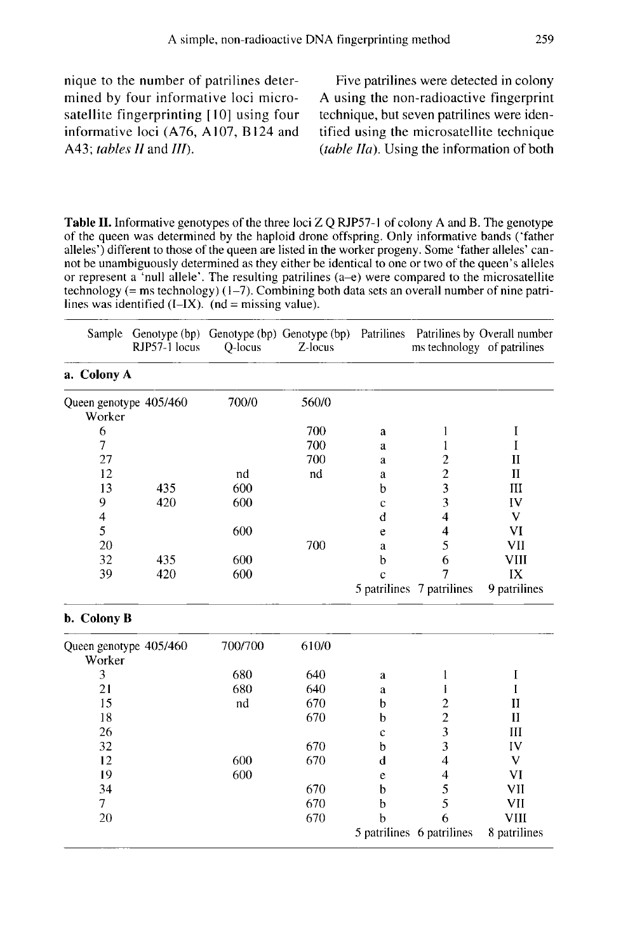nique to the number of patrilines determined by four informative loci microsatellite fingerprinting [10] using four informative loci (A76, A107, B124 and A43; tables II and III).

Five patrilines were detected in colony A using the non-radioactive fingerprint technique, but seven patrilines were identified using the microsatellite technique  $(table \, Ha)$ . Using the information of both

Table II. Informative genotypes of the three loci Z Q RJP57-1 of colony A and B. The genotype of the queen was determined by the haploid drone offspring. Only informative bands ('father alleles') different to those of the queen are listed in the worker progeny. Some 'father alleles' cannot be unambiguously determined as they either be identical to one or two of the queen's alleles or represent a 'null allele'. The resulting patrilines (a-e) were compared to the microsatellite technology (= ms technology)  $(1-7)$ . Combining both data sets an overall number of nine patrilines was identified  $(I-IX)$ .  $(nd = missing value)$ .

| Sample      | RJP57-1 locus          | Q-locus | Z-locus |   | ms technology of patrilines | Genotype (bp) Genotype (bp) Genotype (bp) Patrilines Patrilines by Overall number |
|-------------|------------------------|---------|---------|---|-----------------------------|-----------------------------------------------------------------------------------|
| a. Colony A |                        |         |         |   |                             |                                                                                   |
| Worker      | Queen genotype 405/460 | 700/0   | 560/0   |   |                             |                                                                                   |
| 6           |                        |         | 700     | a |                             |                                                                                   |
| 7           |                        |         | 700     | a |                             |                                                                                   |
| 27          |                        |         | 700     | a |                             | н                                                                                 |
| 12          |                        | nd      | nd      | a | $\overline{c}$              | П                                                                                 |
| 13          | 435                    | 600     |         | b | 3                           | Ш                                                                                 |
| 9           | 420                    | 600     |         | c | 3                           | IV                                                                                |
| 4           |                        |         |         | d |                             | v                                                                                 |
| 5           |                        | 600     |         | e | 4                           | VI                                                                                |
| 20          |                        |         | 700     | a | 5                           | VII                                                                               |
| 32          | 435                    | 600     |         | b | 6                           | VIII                                                                              |
| 39          | 420                    | 600     |         | c | 7                           | IX                                                                                |
|             |                        |         |         |   | 5 patrilines 7 patrilines   | 9 patrilines                                                                      |
| b. Colony B |                        |         |         |   |                             |                                                                                   |
|             | Queen genotype 405/460 | 700/700 | 610/0   |   |                             |                                                                                   |

| Queen genotype 405/460 | 700/700 | 610/0 |   |                           |              |
|------------------------|---------|-------|---|---------------------------|--------------|
| Worker                 |         |       |   |                           |              |
|                        | 680     | 640   | a |                           |              |
| 21                     | 680     | 640   | a |                           |              |
| 15                     | nd      | 670   | h |                           | H            |
| 18                     |         | 670   | b |                           | Н            |
| 26                     |         |       | c |                           | Ш            |
| 32                     |         | 670   | h |                           | IV           |
| 12                     | 600     | 670   | d | 4                         |              |
| 19                     | 600     |       | e | 4                         | VI           |
| 34                     |         | 670   | b |                           | VII          |
|                        |         | 670   |   |                           | VII          |
| 20                     |         | 670   |   | 6                         | VIII         |
|                        |         |       |   | 5 patrilines 6 patrilines | 8 patrilines |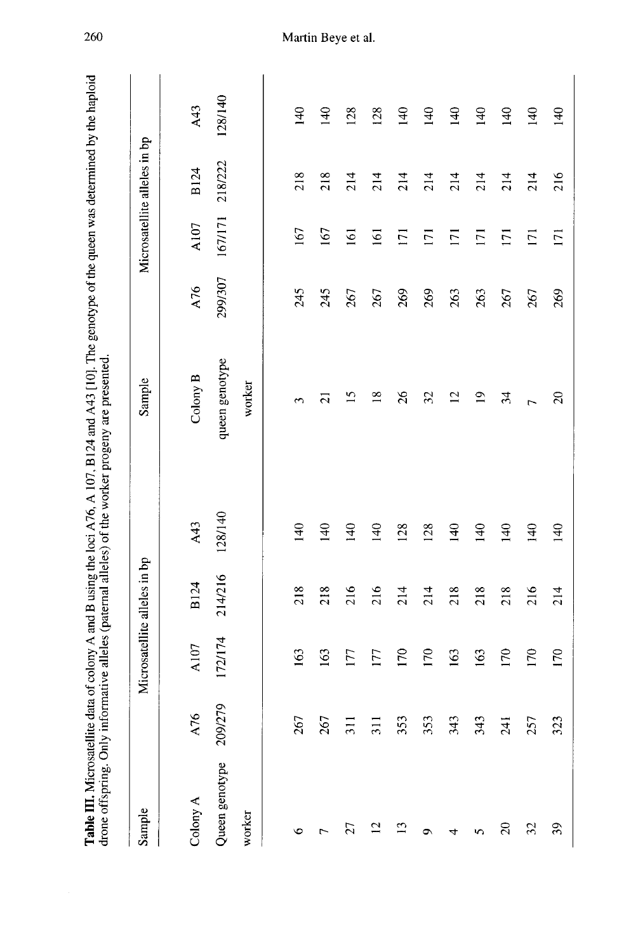|                |                |         |                              |                  | Table III. Microsatellite data of colony A and B using the loci A76, A 107, B124 and A43 [10]. The genotype of the queen was determined by the haploid<br>drone offspring. Only informative alleles (paternal alleles) of the worker progeny are presented. |         |                     |                              |                  |
|----------------|----------------|---------|------------------------------|------------------|-------------------------------------------------------------------------------------------------------------------------------------------------------------------------------------------------------------------------------------------------------------|---------|---------------------|------------------------------|------------------|
| Sample         |                |         | Microsatellite alleles in bp |                  | Sample                                                                                                                                                                                                                                                      |         |                     | Microsatellite alleles in bp |                  |
| Colony A       | A76            | A107    | <b>B124</b>                  | A43              | Colony B                                                                                                                                                                                                                                                    | A76     | A107                | <b>B124</b>                  | A43              |
| Queen genotype | 209/279        | 172/174 | 214/216                      | 128/140          | queen genotype                                                                                                                                                                                                                                              | 299/307 | 167/171             | 218/222                      | 128/140          |
| worker         |                |         |                              |                  | worker                                                                                                                                                                                                                                                      |         |                     |                              |                  |
|                |                |         |                              |                  |                                                                                                                                                                                                                                                             |         |                     |                              |                  |
| ৩              | 267            | 163     | 218                          | $\overline{140}$ | 3                                                                                                                                                                                                                                                           | 245     | 167                 | 218                          | 140              |
|                | 267            | 163     | 218                          | 140              | $\bar{\mathcal{C}}$                                                                                                                                                                                                                                         | 245     | 167                 | 218                          | 140              |
| 27             | $\overline{5}$ | 177     | 216                          | 140              | n                                                                                                                                                                                                                                                           | 267     | $\overline{161}$    | 214                          | 128              |
| 12             | $\Xi$          | 177     | 216                          | 140              | $\frac{8}{2}$                                                                                                                                                                                                                                               | 267     | $\overline{161}$    | 214                          | 128              |
| $^{13}$        | 353            | 170     | 214                          | 128              | 26                                                                                                                                                                                                                                                          | 269     | $\overline{\Xi}$    | 214                          | 140              |
| ٥              | 353            | 170     | 214                          | 128              | 32                                                                                                                                                                                                                                                          | 269     | $\overline{\Gamma}$ | 214                          | $\overline{140}$ |
| 4              | 343            | 163     | 218                          | $\frac{40}{5}$   | $\overline{12}$                                                                                                                                                                                                                                             | 263     | $\overline{1}$      | 214                          | $\frac{140}{5}$  |
| 5              | 343            | 163     | 218                          | $\overline{140}$ | $\overline{a}$                                                                                                                                                                                                                                              | 263     | $\overline{\Xi}$    | 214                          | 140              |
| $\infty$       | 241            | 170     | 218                          | $\frac{140}{5}$  | 24                                                                                                                                                                                                                                                          | 267     | $\overline{171}$    | 214                          | 140              |
| $\mathfrak{L}$ | 257            | 170     | 216                          | $\overline{140}$ | h                                                                                                                                                                                                                                                           | 267     | $\overline{171}$    | 214                          | 140              |
| 39             | 323            | 170     | 214                          | $\frac{140}{2}$  | $\Omega$                                                                                                                                                                                                                                                    | 269     | 171                 | 216                          | 140              |

260

# Martin Beye et al.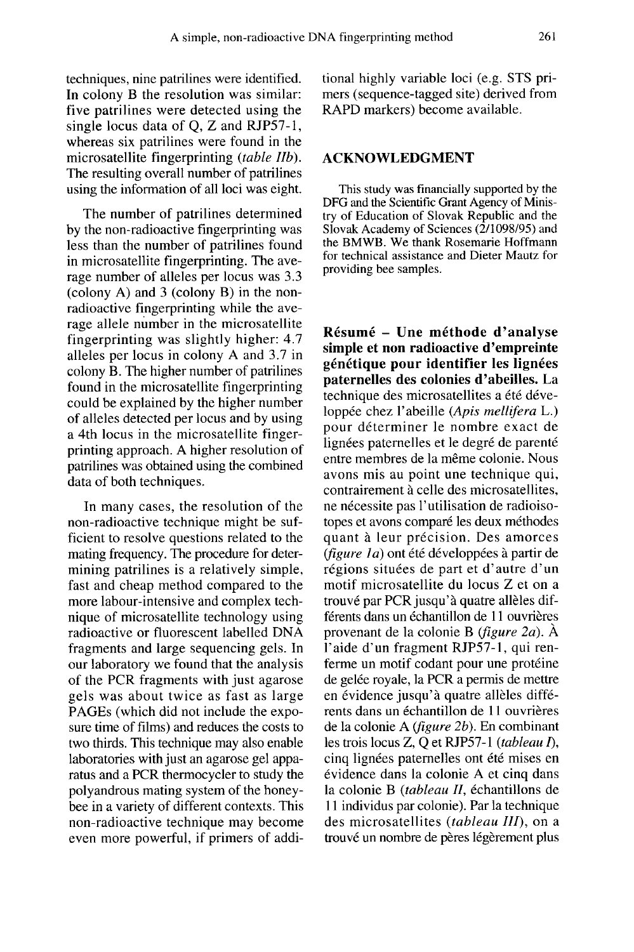techniques, nine patrilines were identified. In colony B the resolution was similar: five patrilines were detected using the single locus data of Q, Z and RJP57-1, whereas six patrilines were found in the microsatellite fingerprinting (table IIb). The resulting overall number of patrilines using the information of all loci was eight.

The number of patrilines determined by the non-radioactive fingerprinting was less than the number of patrilines found in microsatellite fingerprinting. The average number of alleles per locus was 3.3 (colony A) and 3 (colony B) in the nonradioactive fingerprinting while the average allele number in the microsatellite fingerprinting was slightly higher: 4.7 alleles per locus in colony A and 3.7 in colony B. The higher number of patrilines found in the microsatellite fingerprinting could be explained by the higher number of alleles detected per locus and by using a 4th locus in the microsatellite fingerprinting approach. A higher resolution of patrilines was obtained using the combined data of both techniques.

In many cases, the resolution of the non-radioactive technique might be sufficient to resolve questions related to the mating frequency. The procedure for determining patrilines is a relatively simple, fast and cheap method compared to the more labour-intensive and complex technique of microsatellite technology using radioactive or fluorescent labelled DNA fragments and large sequencing gels. In our laboratory we found that the analysis of the PCR fragments with just agarose gels was about twice as fast as large PAGEs (which did not include the exposure time of films) and reduces the costs to two thirds. This technique may also enable laboratories with just an agarose gel apparatus and a PCR thermocycler to study the polyandrous mating system of the honeybee in a variety of different contexts. This non-radioactive technique may become even more powerful, if primers of additional highly variable loci (e.g. STS pri mers (sequence-tagged site) derived from RAPD markers) become available.

### ACKNOWLEDGMENT

This study was financially supported by the DFG and the Scientific Grant Agency of Ministry of Education of Slovak Republic and the Slovak Academy of Sciences  $(2/1098/95)$  and the BMWB. We thank Rosemarie Hoffmann for technical assistance and Dieter Mautz for providing bee samples.

Résumé - Une méthode d'analyse simple et non radioactive d'empreinte génétique pour identifier les lignées paternelles des colonies d'abeilles. La technique des microsatellites a été développée chez l'abeille (Apis mellifera L.) pour déterminer le nombre exact de<br>lignées paternelles et le degré de parenté entre membres de la même colonie. Nous avons mis au point une technique qui, contrairement à celle des microsatellites, ne nécessite pas l'utilisation de radioisotopes et avons comparé les deux méthodes quant à leur précision. Des amorces (figure 1a) ont été développées à partir de régions situées de part et d'autre d'un motif microsatellite du locus Z et on a trouvé par PCR jusqu'à quatre allèles différents dans un échantillon de 11 ouvrières provenant de la colonie B (figure 2a). À l'aide d'un fragment RJP57-1, qui renferme un motif codant pour une protéine de gelée royale, la PCR a permis de mettre en évidence jusqu'à quatre allèles différents dans un échantillon de 11 ouvrières de la colonie A (figure 2b). En combinant les trois locus Z, Q et RJP57-1 (tableau I), cinq lignées paternelles ont été mises en évidence dans la colonie A et cinq dans la colonie B (tableau II, échantillons de 11 individus par colonie). Par la technique des microsatellites (tableau III), on a trouvé un nombre de pères légèrement plus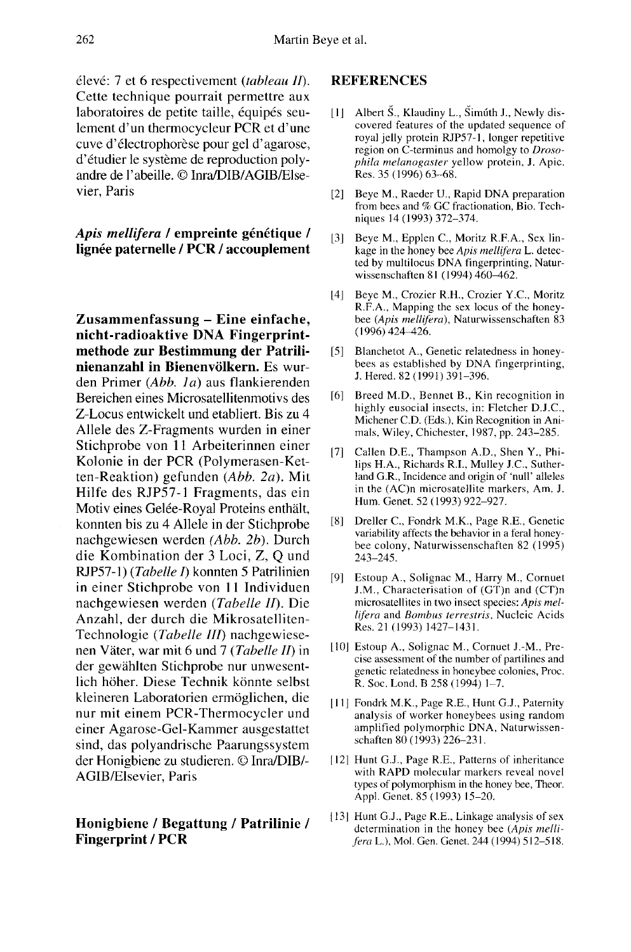élevé: 7 et 6 respectivement (tableau II). Cette technique pourrait permettre aux laboratoires de petite taille, équipés seulement d'un thermocycleur PCR et d'une cuve d'électrophorèse pour gel d'agarose, d'étudier le système de reproduction polyandre de l'abeille. © Inra/DIB/AGIB/Elsevier, Paris

# Apis mellifera / empreinte génétique / lignée paternelle / PCR / accouplement

Zusammenfassung - Eine einfache, nicht-radioaktive DNA Fingerprintmethode zur Bestimmung der Patrilinienanzahl in Bienenvölkern. Es wurden Primer (Abb. 1a) aus flankierenden Bereichen eines Microsatellitenmotivs des Z-Locus entwickelt und etabliert. Bis zu 4 Allele des Z-Fragments wurden in einer Stichprobe von 11 Arbeiterinnen einer Kolonie in der PCR (Polymerasen-Ketten-Reaktion) gefunden (Abb. 2a). Mit Hilfe des RJP57-1 Fragments, das ein Motiv eines Gelée-Royal Proteins enthält, konnten bis zu 4 Allele in der Stichprobe nachgewiesen werden (Abb. 2b). Durch die Kombination der 3 Loci, Z, Q und RJP57-1) (Tabelle I) konnten 5 Patrilinien in einer Stichprobe von 11 Individuen nachgewiesen werden (Tabelle II). Die Anzahl, der durch die Mikrosatelliten-Technologie (Tabelle III) nachgewiese nen Väter, war mit 6 und 7 (Tabelle II) in der gewählten Stichprobe nur unwesentlich höher. Diese Technik könnte selbst kleineren Laboratorien ermöglichen, die nur mit einem PCR-Thermocycler und einer Agarose-Gel-Kammer ausgestattet sind, das polyandrische Paarungssystem der Honigbiene zu studieren. © Inra/DIB/- AGIB/Elsevier, Paris

# Honigbiene / Begattung / Patrilinie / Fingerprint / PCR

## REFERENCES

- [1] Albert Š., Klaudiny L., Šimúth J., Newly discovered features of the updated sequence of royal jelly protein RJP57-1, longer repetitive region on  $\hat{C}$ -terminus and homolgy to  $Droso$ phila melanogaster yellow protein, J. Apic. Res. 35 (1996) 63-68.
- [2] Beye M., Raeder U., Rapid DNA preparation from bees and % GC fractionation, Bio. Techniques 14 (1993) 372-374.
- [3] Beye M., Epplen C., Moritz R.F.A., Sex linkage in the honey bee Apis mellifera L. detected by multilocus DNA fingerprinting, Naturwissenschaften 81 (1994) 460-462.
- [4] Beye M., Crozier R.H., Crozier Y.C., Moritz R.F.A., Mapping the sex locus of the honey bee (Apis mellifera), Naturwissenschaften 83 (1996) 424-426.
- [5] Blanchetot A., Genetic relatedness in honey- bees as established by DNA fingerprinting, J. Hered. 82 (1991) 391-396.
- [6] Breed M.D., Bennet B., Kin recognition in highly eusocial insects, in: Fletcher D.J.C., Michener C.D. (Eds.), Kin Recognition in Animals, Wiley, Chichester, 1987, pp. 243-285.
- [7] Callen D.E., Thampson A.D., Shen Y., Philips H.A., Richards R.I., Mulley J.C., Sutherland G.R., Incidence and origin of 'null' alleles in the (AC)n microsatellite markers, Am. J. Hum. Genet. 52 (1993) 922-927.
- [8] Dreller C., Fondrk M.K., Page R.E., Genetic variability affects the behavior in a feral honey bee colony, Naturwissenschaften 82 (1995) 243-245.
- [9] Estoup A., Solignac M., Harry M., Cornuet J.M., Characterisation of (GT)n and (CT)n microsatellites in two insect species: Apis mellifera and Bombus terrestris, Nucleic Acids Res. 21 (1993) 1427-1431.
- [10] Estoup A., Solignac M., Cornuet J.-M., Precise assessment of the number of partilines and genetic relatedness in honeybee colonies, Proc. R. Soc. Lond. B 258 (1994) 1-7.
- [11] Fondrk M.K., Page R.E., Hunt G.J., Paternity analysis of worker honeybees using random amplified polymorphic DNA, Naturwissenschaften 80 (1993) 226-231.
- [12] Hunt G.J., Page R.E., Patterns of inheritance with RAPD molecular markers reveal novel types of polymorphism in the honey bee, Theor. Appl. Genet. 85 (1993) 15-20.
- [13] Hunt G.J., Page R.E., Linkage analysis of sex determination in the honey bee (Apis mellifera L.), Mol. Gen. Genet. 244 (1994) 512-518.